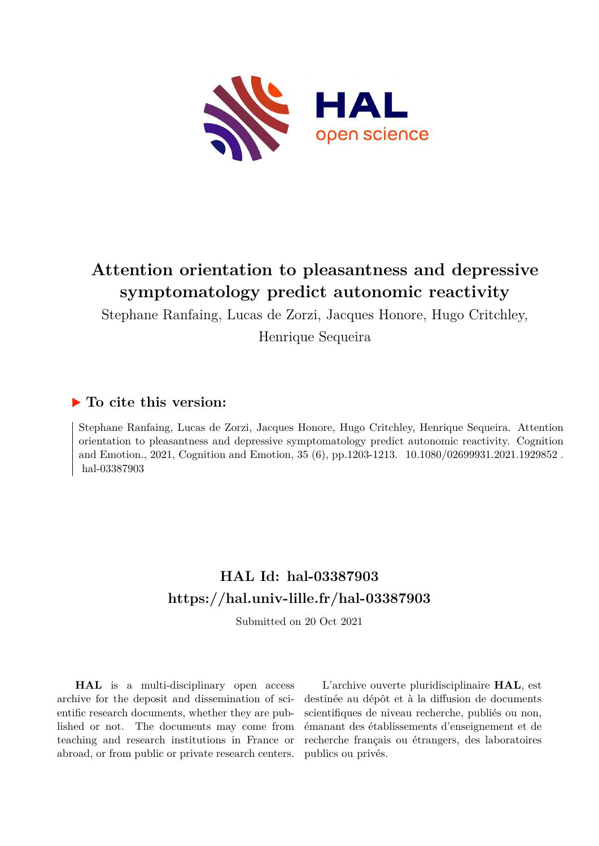

# **Attention orientation to pleasantness and depressive symptomatology predict autonomic reactivity**

Stephane Ranfaing, Lucas de Zorzi, Jacques Honore, Hugo Critchley, Henrique Sequeira

## **To cite this version:**

Stephane Ranfaing, Lucas de Zorzi, Jacques Honore, Hugo Critchley, Henrique Sequeira. Attention orientation to pleasantness and depressive symptomatology predict autonomic reactivity. Cognition and Emotion., 2021, Cognition and Emotion, 35 (6), pp.1203-1213. 10.1080/02699931.2021.1929852. hal-03387903

# **HAL Id: hal-03387903 <https://hal.univ-lille.fr/hal-03387903>**

Submitted on 20 Oct 2021

**HAL** is a multi-disciplinary open access archive for the deposit and dissemination of scientific research documents, whether they are published or not. The documents may come from teaching and research institutions in France or abroad, or from public or private research centers.

L'archive ouverte pluridisciplinaire **HAL**, est destinée au dépôt et à la diffusion de documents scientifiques de niveau recherche, publiés ou non, émanant des établissements d'enseignement et de recherche français ou étrangers, des laboratoires publics ou privés.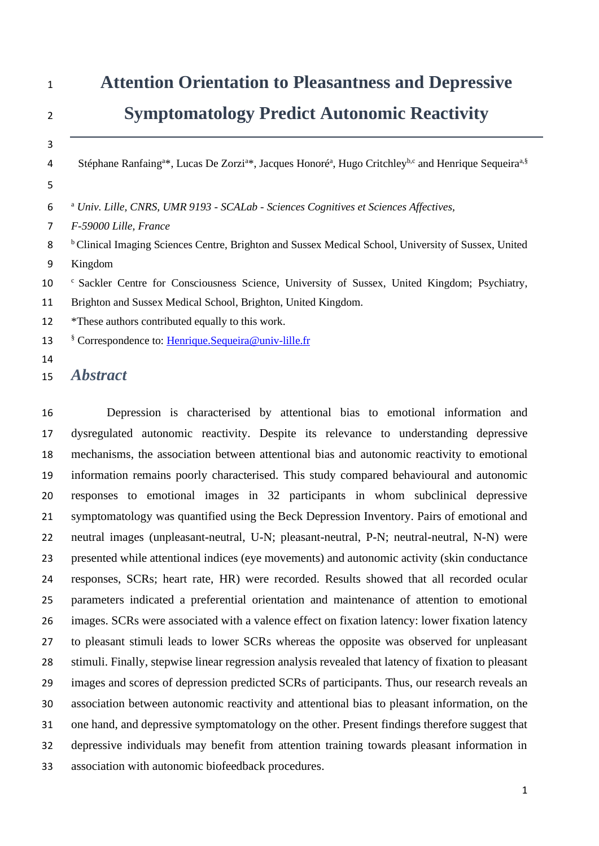| $\mathbf{1}$   | <b>Attention Orientation to Pleasantness and Depressive</b>                                                                                                       |
|----------------|-------------------------------------------------------------------------------------------------------------------------------------------------------------------|
| $\overline{2}$ | <b>Symptomatology Predict Autonomic Reactivity</b>                                                                                                                |
| 3              |                                                                                                                                                                   |
| 4              | Stéphane Ranfaing <sup>a*</sup> , Lucas De Zorzi <sup>a*</sup> , Jacques Honoré <sup>a</sup> , Hugo Critchley <sup>b,c</sup> and Henrique Sequeira <sup>a,§</sup> |
| 5              |                                                                                                                                                                   |
| 6              | <sup>a</sup> Univ. Lille, CNRS, UMR 9193 - SCALab - Sciences Cognitives et Sciences Affectives,                                                                   |
| 7              | F-59000 Lille, France                                                                                                                                             |
| 8              | <sup>b</sup> Clinical Imaging Sciences Centre, Brighton and Sussex Medical School, University of Sussex, United                                                   |
| 9              | Kingdom                                                                                                                                                           |
| 10             | <sup>c</sup> Sackler Centre for Consciousness Science, University of Sussex, United Kingdom; Psychiatry,                                                          |
| 11             | Brighton and Sussex Medical School, Brighton, United Kingdom.                                                                                                     |
| 12             | *These authors contributed equally to this work.                                                                                                                  |
| 13             | <sup>§</sup> Correspondence to: <i>Henrique.Sequeira@univ-lille.fr</i>                                                                                            |
| 14             |                                                                                                                                                                   |
| 15             | <i><b>Abstract</b></i>                                                                                                                                            |

 Depression is characterised by attentional bias to emotional information and dysregulated autonomic reactivity. Despite its relevance to understanding depressive mechanisms, the association between attentional bias and autonomic reactivity to emotional information remains poorly characterised. This study compared behavioural and autonomic responses to emotional images in 32 participants in whom subclinical depressive symptomatology was quantified using the Beck Depression Inventory. Pairs of emotional and neutral images (unpleasant-neutral, U-N; pleasant-neutral, P-N; neutral-neutral, N-N) were presented while attentional indices (eye movements) and autonomic activity (skin conductance responses, SCRs; heart rate, HR) were recorded. Results showed that all recorded ocular parameters indicated a preferential orientation and maintenance of attention to emotional images. SCRs were associated with a valence effect on fixation latency: lower fixation latency to pleasant stimuli leads to lower SCRs whereas the opposite was observed for unpleasant stimuli. Finally, stepwise linear regression analysis revealed that latency of fixation to pleasant images and scores of depression predicted SCRs of participants. Thus, our research reveals an association between autonomic reactivity and attentional bias to pleasant information, on the one hand, and depressive symptomatology on the other. Present findings therefore suggest that depressive individuals may benefit from attention training towards pleasant information in association with autonomic biofeedback procedures.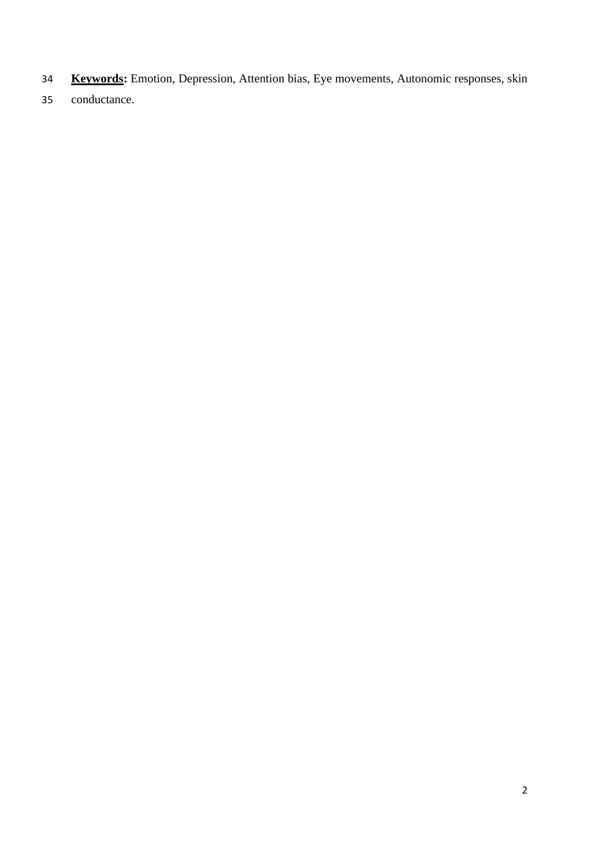- **Keywords:** Emotion, Depression, Attention bias, Eye movements, Autonomic responses, skin
- conductance.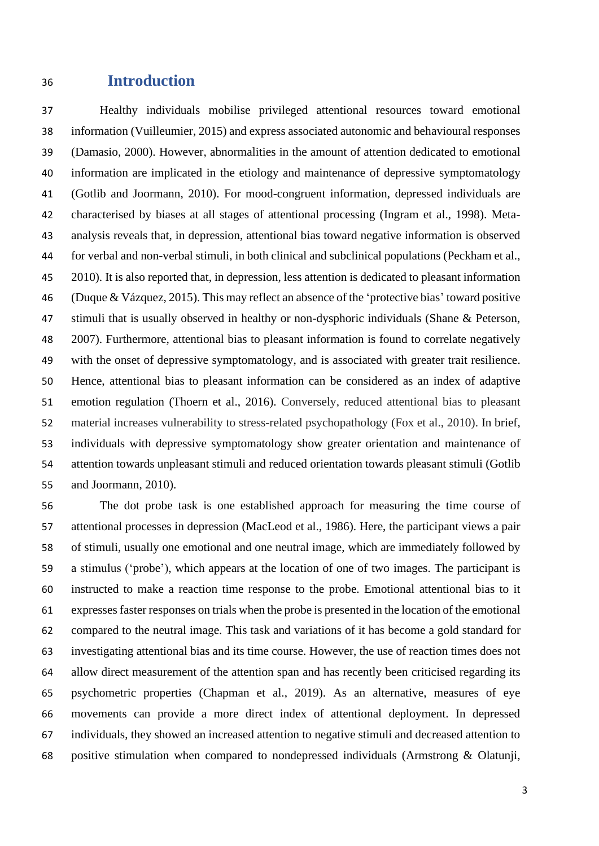## **Introduction**

 Healthy individuals mobilise privileged attentional resources toward emotional information (Vuilleumier, 2015) and express associated autonomic and behavioural responses (Damasio, 2000). However, abnormalities in the amount of attention dedicated to emotional information are implicated in the etiology and maintenance of depressive symptomatology (Gotlib and Joormann, 2010). For mood-congruent information, depressed individuals are characterised by biases at all stages of attentional processing (Ingram et al., 1998). Meta- analysis reveals that, in depression, attentional bias toward negative information is observed for verbal and non-verbal stimuli, in both clinical and subclinical populations (Peckham et al., 2010). It is also reported that, in depression, less attention is dedicated to pleasant information (Duque & Vázquez, 2015). This may reflect an absence of the 'protective bias' toward positive 47 stimuli that is usually observed in healthy or non-dysphoric individuals (Shane & Peterson, 2007). Furthermore, attentional bias to pleasant information is found to correlate negatively with the onset of depressive symptomatology, and is associated with greater trait resilience. Hence, attentional bias to pleasant information can be considered as an index of adaptive emotion regulation (Thoern et al., 2016). Conversely, reduced attentional bias to pleasant material increases vulnerability to stress-related psychopathology (Fox et al., 2010). In brief, individuals with depressive symptomatology show greater orientation and maintenance of attention towards unpleasant stimuli and reduced orientation towards pleasant stimuli (Gotlib and Joormann, 2010).

 The dot probe task is one established approach for measuring the time course of attentional processes in depression (MacLeod et al., 1986). Here, the participant views a pair of stimuli, usually one emotional and one neutral image, which are immediately followed by a stimulus ('probe'), which appears at the location of one of two images. The participant is instructed to make a reaction time response to the probe. Emotional attentional bias to it expressesfaster responses on trials when the probe is presented in the location of the emotional compared to the neutral image. This task and variations of it has become a gold standard for investigating attentional bias and its time course. However, the use of reaction times does not allow direct measurement of the attention span and has recently been criticised regarding its psychometric properties (Chapman et al., 2019). As an alternative, measures of eye movements can provide a more direct index of attentional deployment. In depressed individuals, they showed an increased attention to negative stimuli and decreased attention to positive stimulation when compared to nondepressed individuals (Armstrong & Olatunji,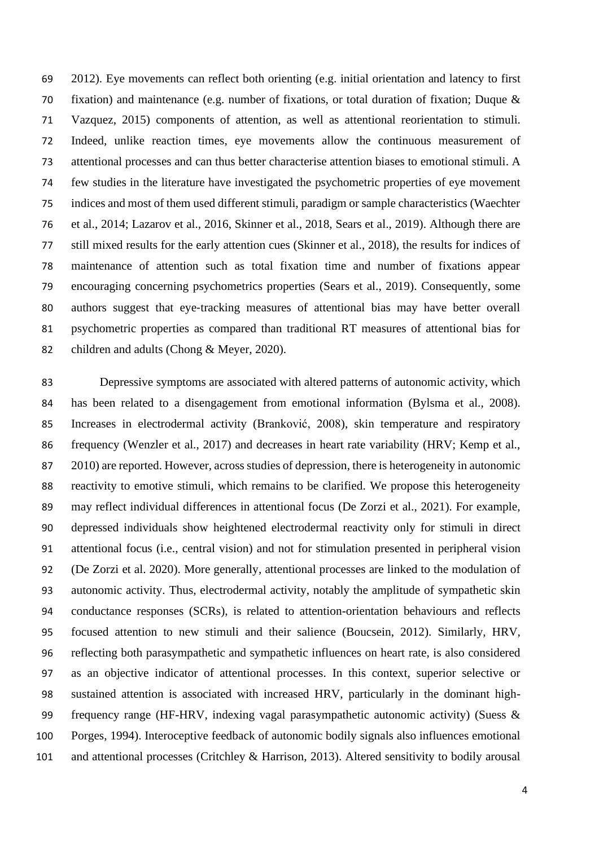2012). Eye movements can reflect both orienting (e.g. initial orientation and latency to first 70 fixation) and maintenance (e.g. number of fixations, or total duration of fixation; Duque  $\&$  Vazquez, 2015) components of attention, as well as attentional reorientation to stimuli. Indeed, unlike reaction times, eye movements allow the continuous measurement of attentional processes and can thus better characterise attention biases to emotional stimuli. A few studies in the literature have investigated the psychometric properties of eye movement indices and most of them used different stimuli, paradigm or sample characteristics (Waechter et al., 2014; Lazarov et al., 2016, Skinner et al., 2018, Sears et al., 2019). Although there are still mixed results for the early attention cues (Skinner et al., 2018), the results for indices of maintenance of attention such as total fixation time and number of fixations appear encouraging concerning psychometrics properties (Sears et al., 2019). Consequently, some authors suggest that eye‐tracking measures of attentional bias may have better overall psychometric properties as compared than traditional RT measures of attentional bias for children and adults (Chong & Meyer, 2020).

 Depressive symptoms are associated with altered patterns of autonomic activity, which has been related to a disengagement from emotional information (Bylsma et al., 2008). Increases in electrodermal activity (Branković, 2008), skin temperature and respiratory frequency (Wenzler et al., 2017) and decreases in heart rate variability (HRV; Kemp et al., 2010) are reported. However, across studies of depression, there is heterogeneity in autonomic reactivity to emotive stimuli, which remains to be clarified. We propose this heterogeneity may reflect individual differences in attentional focus (De Zorzi et al., 2021). For example, depressed individuals show heightened electrodermal reactivity only for stimuli in direct attentional focus (i.e., central vision) and not for stimulation presented in peripheral vision (De Zorzi et al. 2020). More generally, attentional processes are linked to the modulation of autonomic activity. Thus, electrodermal activity, notably the amplitude of sympathetic skin conductance responses (SCRs), is related to attention-orientation behaviours and reflects focused attention to new stimuli and their salience (Boucsein, 2012). Similarly, HRV, reflecting both parasympathetic and sympathetic influences on heart rate, is also considered as an objective indicator of attentional processes. In this context, superior selective or sustained attention is associated with increased HRV, particularly in the dominant high- frequency range (HF-HRV, indexing vagal parasympathetic autonomic activity) (Suess & Porges, 1994). Interoceptive feedback of autonomic bodily signals also influences emotional and attentional processes (Critchley & Harrison, 2013). Altered sensitivity to bodily arousal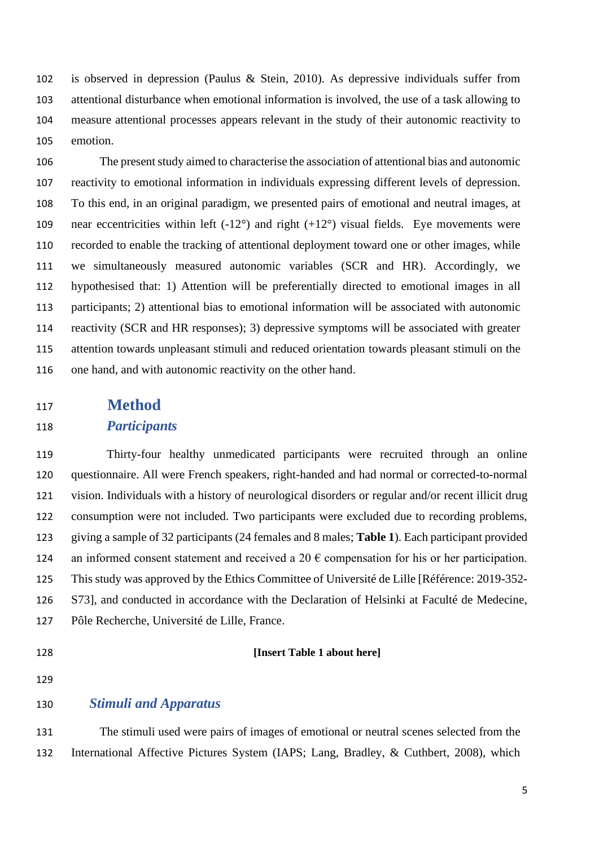is observed in depression (Paulus & Stein, 2010). As depressive individuals suffer from attentional disturbance when emotional information is involved, the use of a task allowing to measure attentional processes appears relevant in the study of their autonomic reactivity to emotion.

 The present study aimed to characterise the association of attentional bias and autonomic reactivity to emotional information in individuals expressing different levels of depression. To this end, in an original paradigm, we presented pairs of emotional and neutral images, at 109 near eccentricities within left  $(-12^{\circ})$  and right  $(+12^{\circ})$  visual fields. Eye movements were recorded to enable the tracking of attentional deployment toward one or other images, while we simultaneously measured autonomic variables (SCR and HR). Accordingly, we hypothesised that: 1) Attention will be preferentially directed to emotional images in all participants; 2) attentional bias to emotional information will be associated with autonomic reactivity (SCR and HR responses); 3) depressive symptoms will be associated with greater attention towards unpleasant stimuli and reduced orientation towards pleasant stimuli on the one hand, and with autonomic reactivity on the other hand.

## **Method**

### *Participants*

 Thirty-four healthy unmedicated participants were recruited through an online questionnaire. All were French speakers, right-handed and had normal or corrected-to-normal vision. Individuals with a history of neurological disorders or regular and/or recent illicit drug consumption were not included. Two participants were excluded due to recording problems, giving a sample of 32 participants (24 females and 8 males; **Table 1**). Each participant provided 124 an informed consent statement and received a 20  $\epsilon$  compensation for his or her participation. This study was approved by the Ethics Committee of Université de Lille [Référence: 2019-352- S73], and conducted in accordance with the Declaration of Helsinki at Faculté de Medecine, Pôle Recherche, Université de Lille, France.

#### **[Insert Table 1 about here]**

### *Stimuli and Apparatus*

 The stimuli used were pairs of images of emotional or neutral scenes selected from the International Affective Pictures System (IAPS; Lang, Bradley, & Cuthbert, 2008), which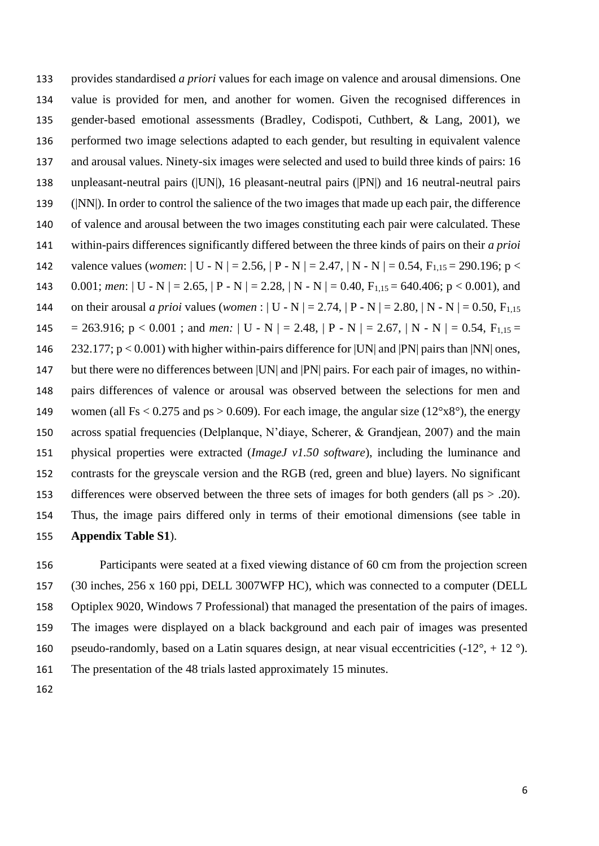provides standardised *a priori* values for each image on valence and arousal dimensions. One value is provided for men, and another for women. Given the recognised differences in gender-based emotional assessments (Bradley, Codispoti, Cuthbert, & Lang, 2001), we performed two image selections adapted to each gender, but resulting in equivalent valence and arousal values. Ninety-six images were selected and used to build three kinds of pairs: 16 unpleasant-neutral pairs (|UN|), 16 pleasant-neutral pairs (|PN|) and 16 neutral-neutral pairs (|NN|). In order to control the salience of the two images that made up each pair, the difference of valence and arousal between the two images constituting each pair were calculated. These within-pairs differences significantly differed between the three kinds of pairs on their *a prioi* 142 valence values (*women*: | U - N | = 2.56, | P - N | = 2.47, | N - N | = 0.54, F<sub>1,15</sub> = 290,196; p < 143 0.001; *men*:  $| U - N | = 2.65$ ,  $| P - N | = 2.28$ ,  $| N - N | = 0.40$ ,  $F_{1,15} = 640.406$ ;  $p < 0.001$ ), and 144 on their arousal *a prioi* values (*women* :  $| U - N | = 2.74$ ,  $| P - N | = 2.80$ ,  $| N - N | = 0.50$ ,  $F_{1,15}$ 145 = 263.916;  $p < 0.001$ ; and *men*: | U - N | = 2.48, | P - N | = 2.67, | N - N | = 0.54,  $F_{1,15}$  = 232.177; p < 0.001) with higher within-pairs difference for |UN| and |PN| pairs than |NN| ones, 147 but there were no differences between [UN] and [PN] pairs. For each pair of images, no within- pairs differences of valence or arousal was observed between the selections for men and 149 women (all Fs < 0.275 and ps > 0.609). For each image, the angular size  $(12^{\circ}x8^{\circ})$ , the energy across spatial frequencies (Delplanque, N'diaye, Scherer, & Grandjean, 2007) and the main physical properties were extracted (*ImageJ v1.50 software*), including the luminance and contrasts for the greyscale version and the RGB (red, green and blue) layers. No significant 153 differences were observed between the three sets of images for both genders (all ps  $> .20$ ). Thus, the image pairs differed only in terms of their emotional dimensions (see table in **Appendix Table S1**).

 Participants were seated at a fixed viewing distance of 60 cm from the projection screen (30 inches, 256 x 160 ppi, DELL 3007WFP HC), which was connected to a computer (DELL Optiplex 9020, Windows 7 Professional) that managed the presentation of the pairs of images. The images were displayed on a black background and each pair of images was presented 160 pseudo-randomly, based on a Latin squares design, at near visual eccentricities  $(-12^{\circ}, +12^{\circ})$ . The presentation of the 48 trials lasted approximately 15 minutes.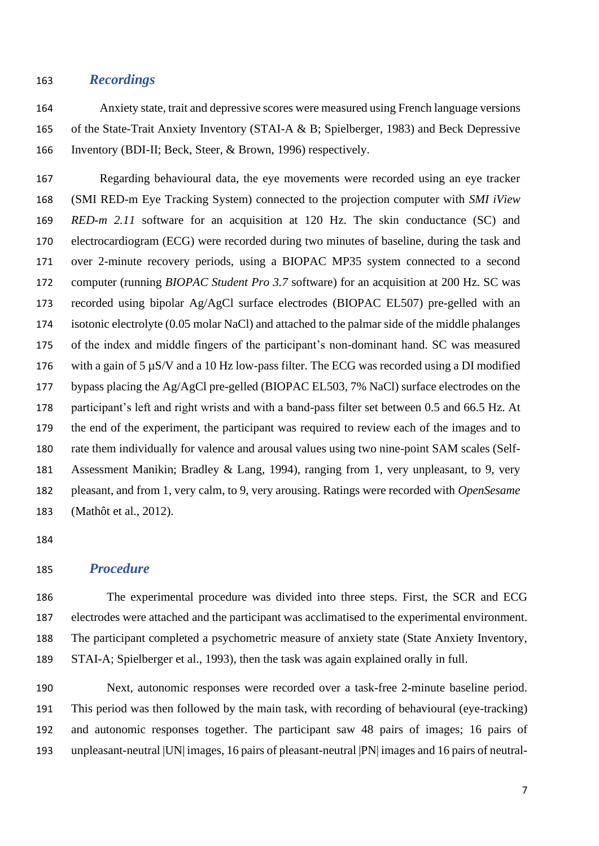### *Recordings*

 Anxiety state, trait and depressive scores were measured using French language versions of the State-Trait Anxiety Inventory (STAI-A & B; Spielberger, 1983) and Beck Depressive Inventory (BDI-II; Beck, Steer, & Brown, 1996) respectively.

 Regarding behavioural data, the eye movements were recorded using an eye tracker (SMI RED-m Eye Tracking System) connected to the projection computer with *SMI iView RED-m 2.11* software for an acquisition at 120 Hz. The skin conductance (SC) and electrocardiogram (ECG) were recorded during two minutes of baseline, during the task and over 2-minute recovery periods, using a BIOPAC MP35 system connected to a second computer (running *BIOPAC Student Pro 3.7* software) for an acquisition at 200 Hz. SC was recorded using bipolar Ag/AgCl surface electrodes (BIOPAC EL507) pre-gelled with an isotonic electrolyte (0.05 molar NaCl) and attached to the palmar side of the middle phalanges of the index and middle fingers of the participant's non-dominant hand. SC was measured with a gain of 5 µS/V and a 10 Hz low-pass filter. The ECG was recorded using a DI modified bypass placing the Ag/AgCl pre-gelled (BIOPAC EL503, 7% NaCl) surface electrodes on the participant's left and right wrists and with a band-pass filter set between 0.5 and 66.5 Hz. At the end of the experiment, the participant was required to review each of the images and to rate them individually for valence and arousal values using two nine-point SAM scales (Self- Assessment Manikin; Bradley & Lang, 1994), ranging from 1, very unpleasant, to 9, very pleasant, and from 1, very calm, to 9, very arousing. Ratings were recorded with *OpenSesame* (Mathôt et al., 2012).

## *Procedure*

 The experimental procedure was divided into three steps. First, the SCR and ECG electrodes were attached and the participant was acclimatised to the experimental environment. The participant completed a psychometric measure of anxiety state (State Anxiety Inventory, STAI-A; Spielberger et al., 1993), then the task was again explained orally in full.

 Next*,* autonomic responses were recorded over a task-free 2-minute baseline period. This period was then followed by the main task, with recording of behavioural (eye-tracking) and autonomic responses together. The participant saw 48 pairs of images; 16 pairs of unpleasant-neutral |UN| images, 16 pairs of pleasant-neutral |PN| images and 16 pairs of neutral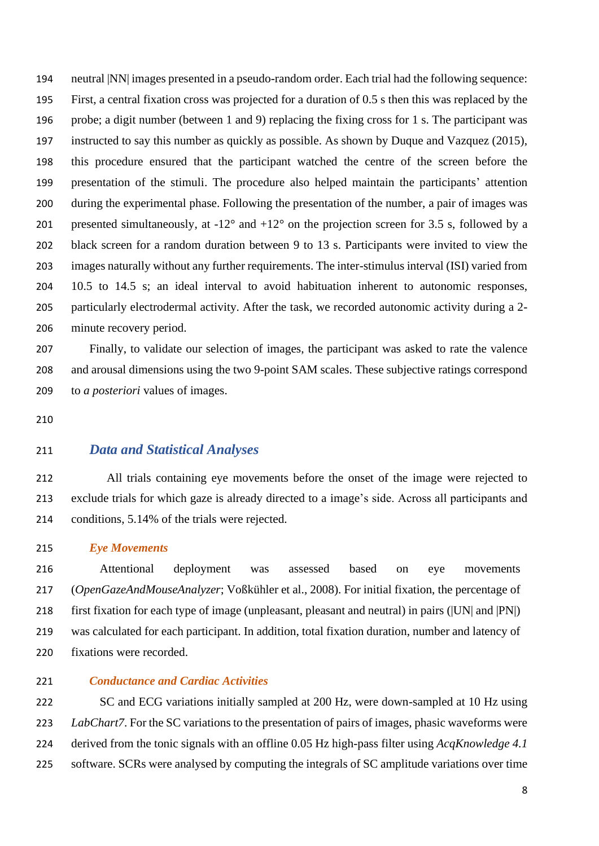neutral |NN| images presented in a pseudo-random order. Each trial had the following sequence: First, a central fixation cross was projected for a duration of 0.5 s then this was replaced by the probe; a digit number (between 1 and 9) replacing the fixing cross for 1 s. The participant was instructed to say this number as quickly as possible. As shown by Duque and Vazquez (2015), this procedure ensured that the participant watched the centre of the screen before the presentation of the stimuli. The procedure also helped maintain the participants' attention during the experimental phase. Following the presentation of the number, a pair of images was 201 presented simultaneously, at  $-12^{\circ}$  and  $+12^{\circ}$  on the projection screen for 3.5 s, followed by a black screen for a random duration between 9 to 13 s. Participants were invited to view the images naturally without any further requirements. The inter-stimulus interval (ISI) varied from 10.5 to 14.5 s; an ideal interval to avoid habituation inherent to autonomic responses, particularly electrodermal activity. After the task, we recorded autonomic activity during a 2- minute recovery period.

 Finally, to validate our selection of images, the participant was asked to rate the valence and arousal dimensions using the two 9-point SAM scales. These subjective ratings correspond to *a posteriori* values of images.

## *Data and Statistical Analyses*

 All trials containing eye movements before the onset of the image were rejected to exclude trials for which gaze is already directed to a image's side. Across all participants and conditions, 5.14% of the trials were rejected.

*Eye Movements*

216 Attentional deployment was assessed based on eye movements (*OpenGazeAndMouseAnalyzer*; Voßkühler et al., 2008). For initial fixation, the percentage of first fixation for each type of image (unpleasant, pleasant and neutral) in pairs (|UN| and |PN|) was calculated for each participant. In addition, total fixation duration, number and latency of fixations were recorded.

## *Conductance and Cardiac Activities*

222 SC and ECG variations initially sampled at 200 Hz, were down-sampled at 10 Hz using *LabChart7*. For the SC variations to the presentation of pairs of images, phasic waveforms were derived from the tonic signals with an offline 0.05 Hz high-pass filter using *AcqKnowledge 4.1* software. SCRs were analysed by computing the integrals of SC amplitude variations over time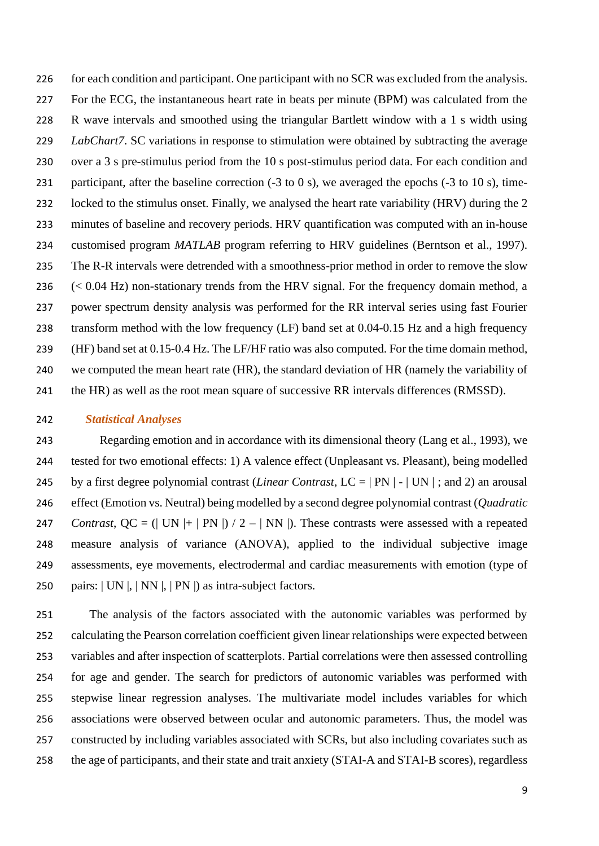226 for each condition and participant. One participant with no SCR was excluded from the analysis. For the ECG, the instantaneous heart rate in beats per minute (BPM) was calculated from the R wave intervals and smoothed using the triangular Bartlett window with a 1 s width using *LabChart7*. SC variations in response to stimulation were obtained by subtracting the average over a 3 s pre-stimulus period from the 10 s post-stimulus period data. For each condition and participant, after the baseline correction (-3 to 0 s), we averaged the epochs (-3 to 10 s), time-232 locked to the stimulus onset. Finally, we analysed the heart rate variability (HRV) during the 2 minutes of baseline and recovery periods. HRV quantification was computed with an in-house customised program *MATLAB* program referring to HRV guidelines (Berntson et al., 1997). The R-R intervals were detrended with a smoothness-prior method in order to remove the slow (< 0.04 Hz) non-stationary trends from the HRV signal. For the frequency domain method, a power spectrum density analysis was performed for the RR interval series using fast Fourier transform method with the low frequency (LF) band set at 0.04-0.15 Hz and a high frequency (HF) band set at 0.15-0.4 Hz. The LF/HF ratio was also computed. For the time domain method, we computed the mean heart rate (HR), the standard deviation of HR (namely the variability of 241 the HR) as well as the root mean square of successive RR intervals differences (RMSSD).

#### *Statistical Analyses*

 Regarding emotion and in accordance with its dimensional theory (Lang et al., 1993), we tested for two emotional effects: 1) A valence effect (Unpleasant vs. Pleasant), being modelled by a first degree polynomial contrast (*Linear Contrast*, LC = | PN | - | UN | ; and 2) an arousal effect (Emotion vs. Neutral) being modelled by a second degree polynomial contrast (*Quadratic Contrast*,  $QC = (| UN |+ | PN |) / 2 - | NN |)$ . These contrasts were assessed with a repeated measure analysis of variance (ANOVA), applied to the individual subjective image assessments, eye movements, electrodermal and cardiac measurements with emotion (type of pairs: | UN |, | NN |, | PN |) as intra-subject factors.

 The analysis of the factors associated with the autonomic variables was performed by calculating the Pearson correlation coefficient given linear relationships were expected between variables and after inspection of scatterplots. Partial correlations were then assessed controlling for age and gender. The search for predictors of autonomic variables was performed with stepwise linear regression analyses. The multivariate model includes variables for which associations were observed between ocular and autonomic parameters. Thus, the model was constructed by including variables associated with SCRs, but also including covariates such as the age of participants, and their state and trait anxiety (STAI-A and STAI-B scores), regardless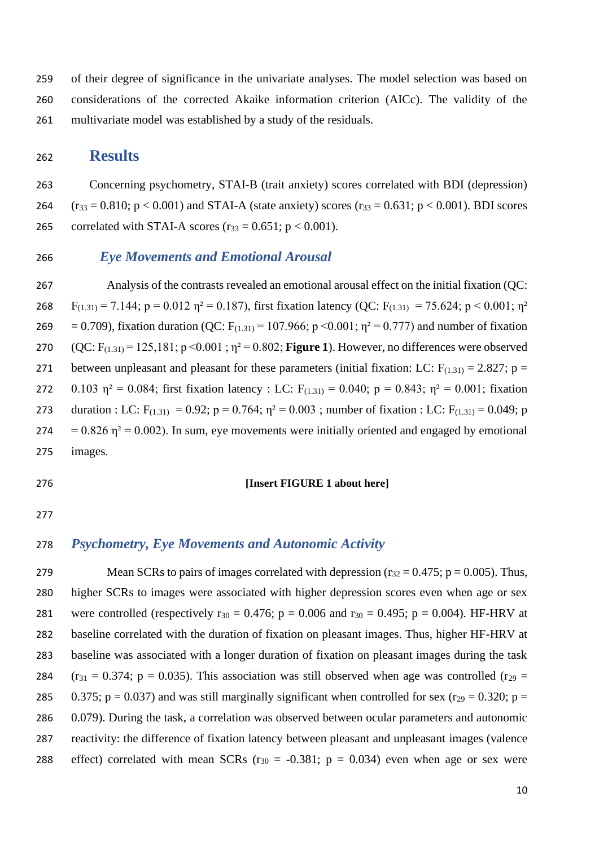259 of their degree of significance in the univariate analyses. The model selection was based on 260 considerations of the corrected Akaike information criterion (AICc). The validity of the 261 multivariate model was established by a study of the residuals.

## <sup>262</sup> **Results**

263 Concerning psychometry, STAI-B (trait anxiety) scores correlated with BDI (depression) 264  $(r_{33} = 0.810; p < 0.001)$  and STAI-A (state anxiety) scores  $(r_{33} = 0.631; p < 0.001)$ . BDI scores 265 correlated with STAI-A scores  $(r_{33} = 0.651; p < 0.001)$ .

### 266 *Eye Movements and Emotional Arousal*

267 Analysis of the contrasts revealed an emotional arousal effect on the initial fixation (QC: 268  $F_{(1,31)} = 7.144$ ; p = 0.012  $\eta^2 = 0.187$ ), first fixation latency (QC:  $F_{(1,31)} = 75.624$ ; p < 0.001;  $\eta^2$ 269 = 0.709), fixation duration (QC:  $F_{(1.31)} = 107.966$ ; p <0.001;  $\eta^2 = 0.777$ ) and number of fixation 270 (QC:  $F_{(1,31)} = 125,181$ ; p < 0.001;  $\eta^2 = 0.802$ ; **Figure 1**). However, no differences were observed 271 between unpleasant and pleasant for these parameters (initial fixation: LC:  $F_{(1,31)} = 2.827$ ; p = 272 0.103  $\eta^2 = 0.084$ ; first fixation latency : LC: F<sub>(1.31)</sub> = 0.040; p = 0.843;  $\eta^2 = 0.001$ ; fixation 273 duration : LC:  $F_{(1,31)} = 0.92$ ;  $p = 0.764$ ;  $\eta^2 = 0.003$ ; number of fixation : LC:  $F_{(1,31)} = 0.049$ ; p  $274 = 0.826$   $\eta^2 = 0.002$ ). In sum, eye movements were initially oriented and engaged by emotional 275 images.

#### 276 **[Insert FIGURE 1 about here]**

277

## 278 *Psychometry, Eye Movements and Autonomic Activity*

279 Mean SCRs to pairs of images correlated with depression ( $r_{32} = 0.475$ ; p = 0.005). Thus, 280 higher SCRs to images were associated with higher depression scores even when age or sex 281 were controlled (respectively  $r_{30} = 0.476$ ; p = 0.006 and  $r_{30} = 0.495$ ; p = 0.004). HF-HRV at 282 baseline correlated with the duration of fixation on pleasant images. Thus, higher HF-HRV at 283 baseline was associated with a longer duration of fixation on pleasant images during the task 284 ( $r_{31} = 0.374$ ; p = 0.035). This association was still observed when age was controlled ( $r_{29} =$ 285 0.375; p = 0.037) and was still marginally significant when controlled for sex (r<sub>29</sub> = 0.320; p = 286 0.079). During the task, a correlation was observed between ocular parameters and autonomic 287 reactivity: the difference of fixation latency between pleasant and unpleasant images (valence 288 effect) correlated with mean SCRs ( $r_{30} = -0.381$ ;  $p = 0.034$ ) even when age or sex were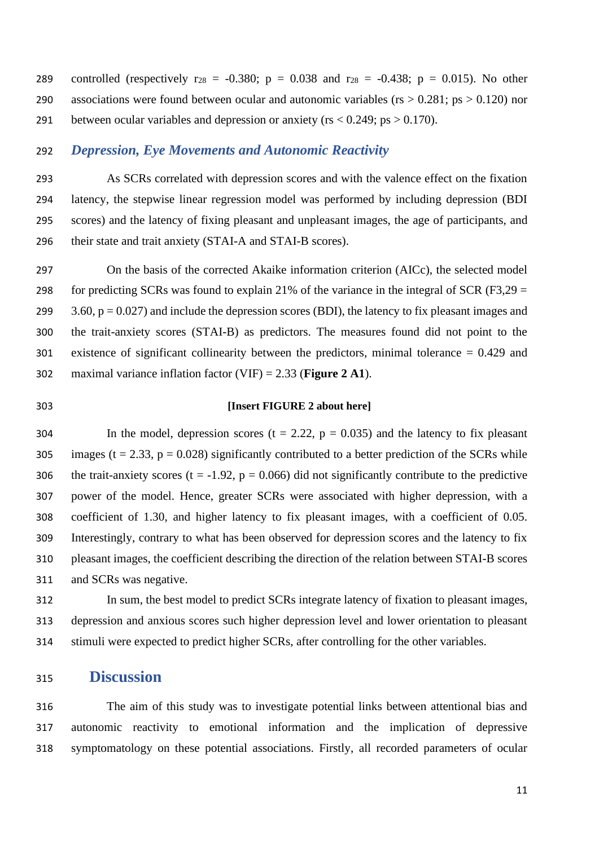289 controlled (respectively  $r_{28} = -0.380$ ;  $p = 0.038$  and  $r_{28} = -0.438$ ;  $p = 0.015$ ). No other 290 associations were found between ocular and autonomic variables ( $rs > 0.281$ ;  $ps > 0.120$ ) nor 291 between ocular variables and depression or anxiety ( $rs < 0.249$ ;  $ps > 0.170$ ).

### *Depression, Eye Movements and Autonomic Reactivity*

 As SCRs correlated with depression scores and with the valence effect on the fixation latency, the stepwise linear regression model was performed by including depression (BDI scores) and the latency of fixing pleasant and unpleasant images, the age of participants, and their state and trait anxiety (STAI-A and STAI-B scores).

 On the basis of the corrected Akaike information criterion (AICc), the selected model 298 for predicting SCRs was found to explain 21% of the variance in the integral of SCR (F3,29  $=$  $3.60$ ,  $p = 0.027$ ) and include the depression scores (BDI), the latency to fix pleasant images and the trait-anxiety scores (STAI-B) as predictors. The measures found did not point to the existence of significant collinearity between the predictors, minimal tolerance = 0.429 and maximal variance inflation factor (VIF) = 2.33 (**Figure 2 A1**).

#### **[Insert FIGURE 2 about here]**

304 In the model, depression scores  $(t = 2.22, p = 0.035)$  and the latency to fix pleasant 305 images ( $t = 2.33$ ,  $p = 0.028$ ) significantly contributed to a better prediction of the SCRs while 306 the trait-anxiety scores (t = -1.92,  $p = 0.066$ ) did not significantly contribute to the predictive power of the model. Hence, greater SCRs were associated with higher depression, with a coefficient of 1.30, and higher latency to fix pleasant images, with a coefficient of 0.05. Interestingly, contrary to what has been observed for depression scores and the latency to fix pleasant images, the coefficient describing the direction of the relation between STAI-B scores and SCRs was negative.

 In sum, the best model to predict SCRs integrate latency of fixation to pleasant images, depression and anxious scores such higher depression level and lower orientation to pleasant stimuli were expected to predict higher SCRs, after controlling for the other variables.

## **Discussion**

 The aim of this study was to investigate potential links between attentional bias and autonomic reactivity to emotional information and the implication of depressive symptomatology on these potential associations. Firstly, all recorded parameters of ocular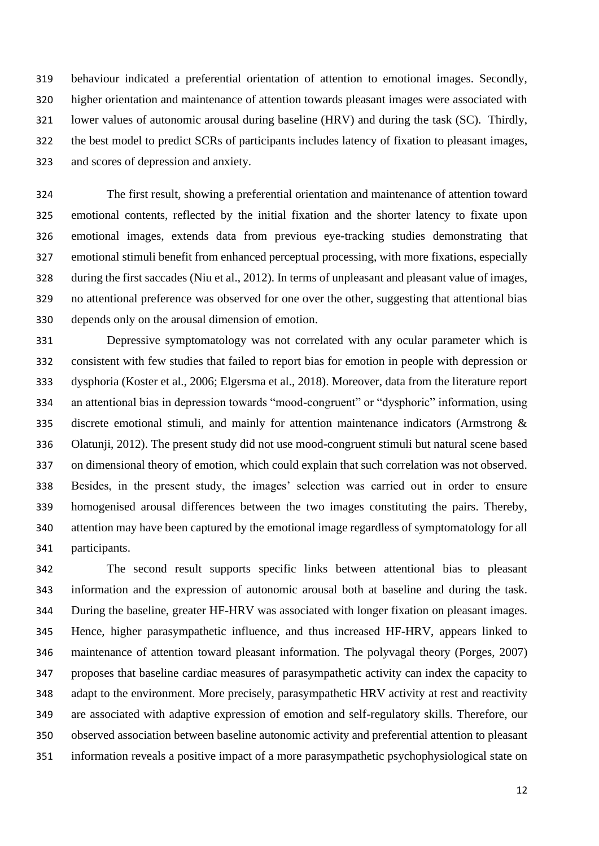behaviour indicated a preferential orientation of attention to emotional images. Secondly, higher orientation and maintenance of attention towards pleasant images were associated with lower values of autonomic arousal during baseline (HRV) and during the task (SC). Thirdly, the best model to predict SCRs of participants includes latency of fixation to pleasant images, and scores of depression and anxiety.

 The first result, showing a preferential orientation and maintenance of attention toward emotional contents, reflected by the initial fixation and the shorter latency to fixate upon emotional images, extends data from previous eye-tracking studies demonstrating that emotional stimuli benefit from enhanced perceptual processing, with more fixations, especially during the first saccades (Niu et al., 2012). In terms of unpleasant and pleasant value of images, no attentional preference was observed for one over the other, suggesting that attentional bias depends only on the arousal dimension of emotion.

 Depressive symptomatology was not correlated with any ocular parameter which is consistent with few studies that failed to report bias for emotion in people with depression or dysphoria (Koster et al., 2006; Elgersma et al., 2018). Moreover, data from the literature report an attentional bias in depression towards "mood-congruent" or "dysphoric" information, using discrete emotional stimuli, and mainly for attention maintenance indicators (Armstrong & Olatunji, 2012). The present study did not use mood-congruent stimuli but natural scene based on dimensional theory of emotion, which could explain that such correlation was not observed. Besides, in the present study, the images' selection was carried out in order to ensure homogenised arousal differences between the two images constituting the pairs. Thereby, attention may have been captured by the emotional image regardless of symptomatology for all participants.

 The second result supports specific links between attentional bias to pleasant information and the expression of autonomic arousal both at baseline and during the task. During the baseline, greater HF-HRV was associated with longer fixation on pleasant images. Hence, higher parasympathetic influence, and thus increased HF-HRV, appears linked to maintenance of attention toward pleasant information. The polyvagal theory (Porges, 2007) proposes that baseline cardiac measures of parasympathetic activity can index the capacity to adapt to the environment. More precisely, parasympathetic HRV activity at rest and reactivity are associated with adaptive expression of emotion and self-regulatory skills. Therefore, our observed association between baseline autonomic activity and preferential attention to pleasant information reveals a positive impact of a more parasympathetic psychophysiological state on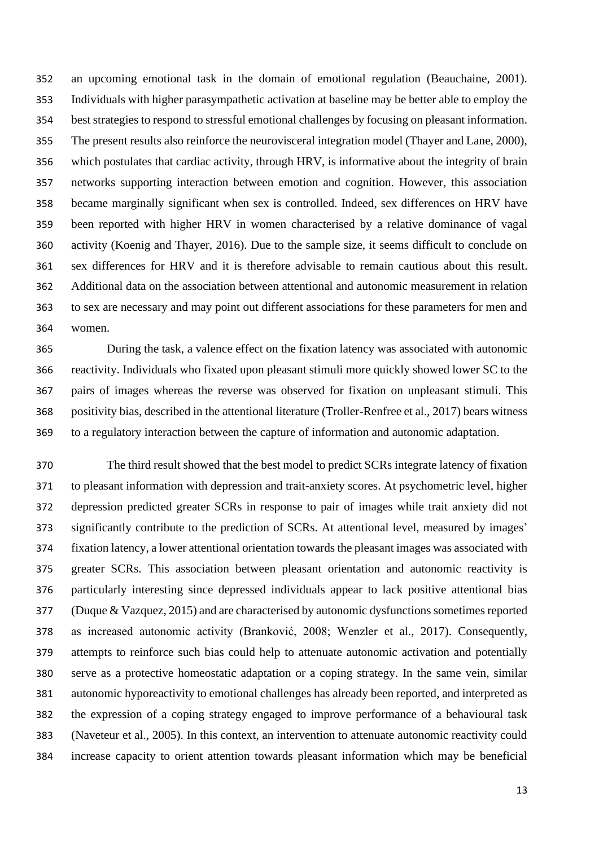an upcoming emotional task in the domain of emotional regulation (Beauchaine, 2001). Individuals with higher parasympathetic activation at baseline may be better able to employ the best strategies to respond to stressful emotional challenges by focusing on pleasant information. The present results also reinforce the neurovisceral integration model (Thayer and Lane, 2000), which postulates that cardiac activity, through HRV, is informative about the integrity of brain networks supporting interaction between emotion and cognition. However, this association became marginally significant when sex is controlled. Indeed, sex differences on HRV have been reported with higher HRV in women characterised by a relative dominance of vagal activity (Koenig and Thayer, 2016). Due to the sample size, it seems difficult to conclude on sex differences for HRV and it is therefore advisable to remain cautious about this result. Additional data on the association between attentional and autonomic measurement in relation to sex are necessary and may point out different associations for these parameters for men and women.

 During the task, a valence effect on the fixation latency was associated with autonomic reactivity. Individuals who fixated upon pleasant stimuli more quickly showed lower SC to the pairs of images whereas the reverse was observed for fixation on unpleasant stimuli. This positivity bias, described in the attentional literature (Troller-Renfree et al., 2017) bears witness to a regulatory interaction between the capture of information and autonomic adaptation.

 The third result showed that the best model to predict SCRs integrate latency of fixation to pleasant information with depression and trait-anxiety scores. At psychometric level, higher depression predicted greater SCRs in response to pair of images while trait anxiety did not significantly contribute to the prediction of SCRs. At attentional level, measured by images' fixation latency, a lower attentional orientation towards the pleasant images was associated with greater SCRs. This association between pleasant orientation and autonomic reactivity is particularly interesting since depressed individuals appear to lack positive attentional bias (Duque & Vazquez, 2015) and are characterised by autonomic dysfunctions sometimes reported as increased autonomic activity (Branković, 2008; Wenzler et al., 2017). Consequently, attempts to reinforce such bias could help to attenuate autonomic activation and potentially serve as a protective homeostatic adaptation or a coping strategy. In the same vein, similar autonomic hyporeactivity to emotional challenges has already been reported, and interpreted as the expression of a coping strategy engaged to improve performance of a behavioural task (Naveteur et al., 2005). In this context, an intervention to attenuate autonomic reactivity could increase capacity to orient attention towards pleasant information which may be beneficial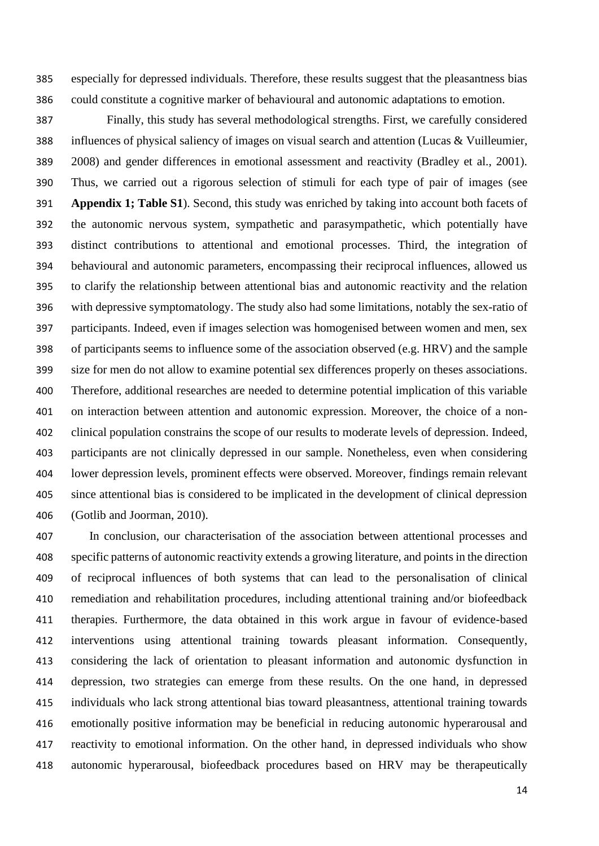especially for depressed individuals. Therefore, these results suggest that the pleasantness bias could constitute a cognitive marker of behavioural and autonomic adaptations to emotion.

 Finally, this study has several methodological strengths. First, we carefully considered influences of physical saliency of images on visual search and attention (Lucas & Vuilleumier, 2008) and gender differences in emotional assessment and reactivity (Bradley et al., 2001). Thus, we carried out a rigorous selection of stimuli for each type of pair of images (see **Appendix 1; Table S1**). Second, this study was enriched by taking into account both facets of the autonomic nervous system, sympathetic and parasympathetic, which potentially have distinct contributions to attentional and emotional processes. Third, the integration of behavioural and autonomic parameters, encompassing their reciprocal influences, allowed us to clarify the relationship between attentional bias and autonomic reactivity and the relation with depressive symptomatology. The study also had some limitations, notably the sex-ratio of participants. Indeed, even if images selection was homogenised between women and men, sex of participants seems to influence some of the association observed (e.g. HRV) and the sample size for men do not allow to examine potential sex differences properly on theses associations. Therefore, additional researches are needed to determine potential implication of this variable on interaction between attention and autonomic expression. Moreover, the choice of a non- clinical population constrains the scope of our results to moderate levels of depression. Indeed, participants are not clinically depressed in our sample. Nonetheless, even when considering lower depression levels, prominent effects were observed. Moreover, findings remain relevant since attentional bias is considered to be implicated in the development of clinical depression (Gotlib and Joorman, 2010).

 In conclusion, our characterisation of the association between attentional processes and specific patterns of autonomic reactivity extends a growing literature, and points in the direction of reciprocal influences of both systems that can lead to the personalisation of clinical remediation and rehabilitation procedures, including attentional training and/or biofeedback therapies. Furthermore, the data obtained in this work argue in favour of evidence-based interventions using attentional training towards pleasant information. Consequently, considering the lack of orientation to pleasant information and autonomic dysfunction in depression, two strategies can emerge from these results. On the one hand, in depressed individuals who lack strong attentional bias toward pleasantness, attentional training towards emotionally positive information may be beneficial in reducing autonomic hyperarousal and reactivity to emotional information. On the other hand, in depressed individuals who show autonomic hyperarousal, biofeedback procedures based on HRV may be therapeutically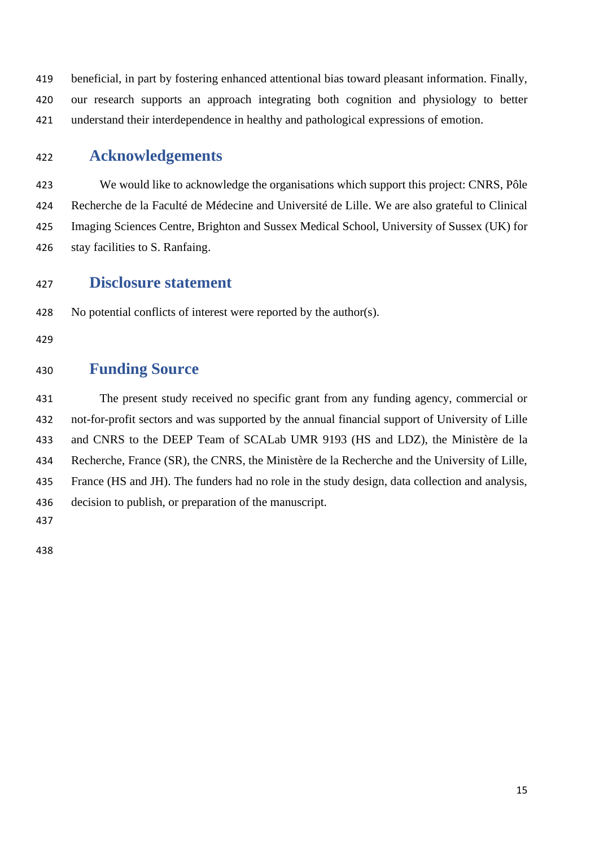beneficial, in part by fostering enhanced attentional bias toward pleasant information. Finally, our research supports an approach integrating both cognition and physiology to better understand their interdependence in healthy and pathological expressions of emotion.

## **Acknowledgements**

 We would like to acknowledge the organisations which support this project: CNRS, Pôle Recherche de la Faculté de Médecine and Université de Lille. We are also grateful to Clinical Imaging Sciences Centre, Brighton and Sussex Medical School, University of Sussex (UK) for stay facilities to S. Ranfaing.

## **Disclosure statement**

No potential conflicts of interest were reported by the author(s).

## **Funding Source**

 The present study received no specific grant from any funding agency, commercial or not-for-profit sectors and was supported by the annual financial support of University of Lille and CNRS to the DEEP Team of SCALab UMR 9193 (HS and LDZ), the Ministère de la Recherche, France (SR), the CNRS, the Ministère de la Recherche and the University of Lille, France (HS and JH). The funders had no role in the study design, data collection and analysis, decision to publish, or preparation of the manuscript.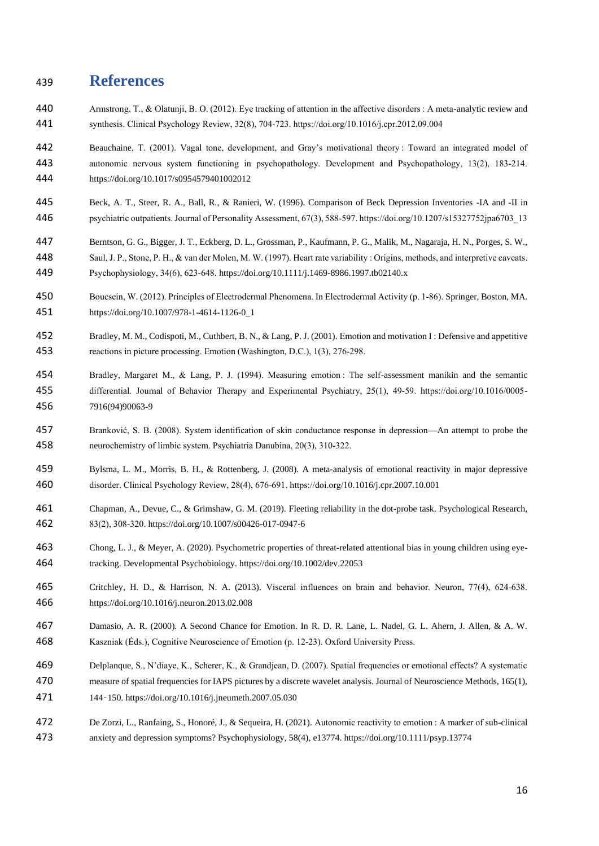## **References**

- Armstrong, T., & Olatunji, B. O. (2012). Eye tracking of attention in the affective disorders : A meta-analytic review and synthesis. Clinical Psychology Review, 32(8), 704‑723. https://doi.org/10.1016/j.cpr.2012.09.004
- Beauchaine, T. (2001). Vagal tone, development, and Gray's motivational theory : Toward an integrated model of autonomic nervous system functioning in psychopathology. Development and Psychopathology, 13(2), 183‑214. https://doi.org/10.1017/s0954579401002012
- Beck, A. T., Steer, R. A., Ball, R., & Ranieri, W. (1996). Comparison of Beck Depression Inventories -IA and -II in psychiatric outpatients. Journal of Personality Assessment, 67(3), 588‑597. https://doi.org/10.1207/s15327752jpa6703\_13
- Berntson, G. G., Bigger, J. T., Eckberg, D. L., Grossman, P., Kaufmann, P. G., Malik, M., Nagaraja, H. N., Porges, S. W., Saul, J. P., Stone, P. H., & van der Molen, M. W. (1997). Heart rate variability : Origins, methods, and interpretive caveats. Psychophysiology, 34(6), 623‑648. https://doi.org/10.1111/j.1469-8986.1997.tb02140.x
- Boucsein, W. (2012). Principles of Electrodermal Phenomena. In Electrodermal Activity (p. 1‑86). Springer, Boston, MA. https://doi.org/10.1007/978-1-4614-1126-0\_1
- Bradley, M. M., Codispoti, M., Cuthbert, B. N., & Lang, P. J. (2001). Emotion and motivation I : Defensive and appetitive reactions in picture processing. Emotion (Washington, D.C.), 1(3), 276‑298.
- Bradley, Margaret M., & Lang, P. J. (1994). Measuring emotion : The self-assessment manikin and the semantic differential. Journal of Behavior Therapy and Experimental Psychiatry, 25(1), 49‑59. https://doi.org/10.1016/0005- 7916(94)90063-9
- Branković, S. B. (2008). System identification of skin conductance response in depression—An attempt to probe the 458 neurochemistry of limbic system. Psychiatria Danubina, 20(3), 310-322.
- Bylsma, L. M., Morris, B. H., & Rottenberg, J. (2008). A meta-analysis of emotional reactivity in major depressive disorder. Clinical Psychology Review, 28(4), 676‑691. https://doi.org/10.1016/j.cpr.2007.10.001
- Chapman, A., Devue, C., & Grimshaw, G. M. (2019). Fleeting reliability in the dot-probe task. Psychological Research, 83(2), 308‑320. https://doi.org/10.1007/s00426-017-0947-6
- Chong, L. J., & Meyer, A. (2020). Psychometric properties of threat-related attentional bias in young children using eye-tracking. Developmental Psychobiology. https://doi.org/10.1002/dev.22053
- 465 Critchley, H. D., & Harrison, N. A. (2013). Visceral influences on brain and behavior. Neuron, 77(4), 624–638. https://doi.org/10.1016/j.neuron.2013.02.008
- Damasio, A. R. (2000). A Second Chance for Emotion. In R. D. R. Lane, L. Nadel, G. L. Ahern, J. Allen, & A. W. Kaszniak (Éds.), Cognitive Neuroscience of Emotion (p. 12‑23). Oxford University Press.
- Delplanque, S., N'diaye, K., Scherer, K., & Grandjean, D. (2007). Spatial frequencies or emotional effects? A systematic measure of spatial frequencies for IAPS pictures by a discrete wavelet analysis. Journal of Neuroscience Methods, 165(1),
- 144‑150. https://doi.org/10.1016/j.jneumeth.2007.05.030
- De Zorzi, L., Ranfaing, S., Honoré, J., & Sequeira, H. (2021). Autonomic reactivity to emotion : A marker of sub-clinical anxiety and depression symptoms? Psychophysiology, 58(4), e13774. https://doi.org/10.1111/psyp.13774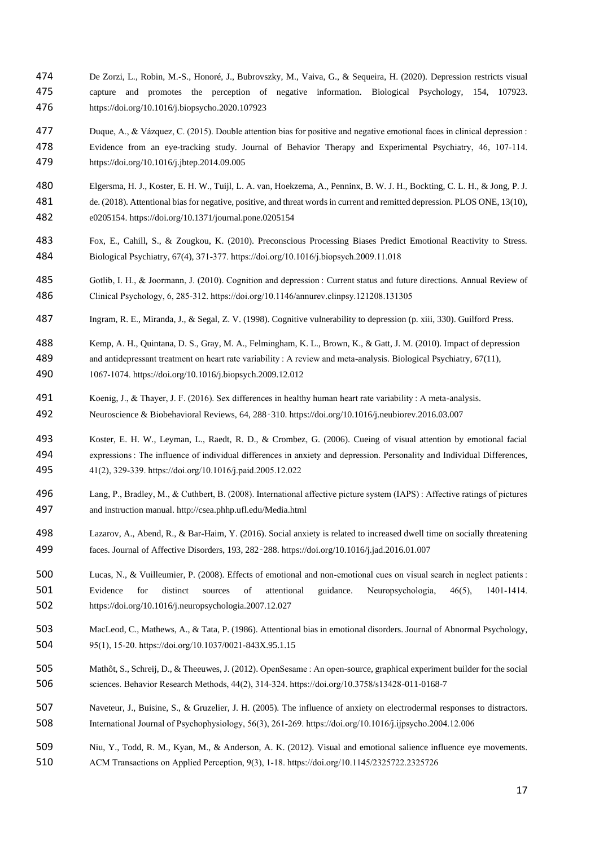- De Zorzi, L., Robin, M.-S., Honoré, J., Bubrovszky, M., Vaiva, G., & Sequeira, H. (2020). Depression restricts visual capture and promotes the perception of negative information. Biological Psychology, 154, 107923. https://doi.org/10.1016/j.biopsycho.2020.107923
- Duque, A., & Vázquez, C. (2015). Double attention bias for positive and negative emotional faces in clinical depression : Evidence from an eye-tracking study. Journal of Behavior Therapy and Experimental Psychiatry, 46, 107‑114. https://doi.org/10.1016/j.jbtep.2014.09.005
- Elgersma, H. J., Koster, E. H. W., Tuijl, L. A. van, Hoekzema, A., Penninx, B. W. J. H., Bockting, C. L. H., & Jong, P. J.
- de. (2018). Attentional bias for negative, positive, and threat words in current and remitted depression. PLOS ONE, 13(10), e0205154. https://doi.org/10.1371/journal.pone.0205154
- Fox, E., Cahill, S., & Zougkou, K. (2010). Preconscious Processing Biases Predict Emotional Reactivity to Stress. Biological Psychiatry, 67(4), 371‑377. https://doi.org/10.1016/j.biopsych.2009.11.018
- Gotlib, I. H., & Joormann, J. (2010). Cognition and depression : Current status and future directions. Annual Review of Clinical Psychology, 6, 285‑312. https://doi.org/10.1146/annurev.clinpsy.121208.131305
- Ingram, R. E., Miranda, J., & Segal, Z. V. (1998). Cognitive vulnerability to depression (p. xiii, 330). Guilford Press.
- Kemp, A. H., Quintana, D. S., Gray, M. A., Felmingham, K. L., Brown, K., & Gatt, J. M. (2010). Impact of depression and antidepressant treatment on heart rate variability : A review and meta-analysis. Biological Psychiatry, 67(11), 1067‑1074. https://doi.org/10.1016/j.biopsych.2009.12.012
- Koenig, J., & Thayer, J. F. (2016). Sex differences in healthy human heart rate variability : A meta-analysis.
- Neuroscience & Biobehavioral Reviews, 64, 288‑310. https://doi.org/10.1016/j.neubiorev.2016.03.007
- Koster, E. H. W., Leyman, L., Raedt, R. D., & Crombez, G. (2006). Cueing of visual attention by emotional facial expressions : The influence of individual differences in anxiety and depression. Personality and Individual Differences, 41(2), 329‑339. https://doi.org/10.1016/j.paid.2005.12.022
- Lang, P., Bradley, M., & Cuthbert, B. (2008). International affective picture system (IAPS) : Affective ratings of pictures and instruction manual. http://csea.phhp.ufl.edu/Media.html
- Lazarov, A., Abend, R., & Bar-Haim, Y. (2016). Social anxiety is related to increased dwell time on socially threatening faces. Journal of Affective Disorders, 193, 282‑288. https://doi.org/10.1016/j.jad.2016.01.007
- Lucas, N., & Vuilleumier, P. (2008). Effects of emotional and non-emotional cues on visual search in neglect patients : 501 Evidence for distinct sources of attentional guidance. Neuropsychologia, 46(5), 1401–1414. https://doi.org/10.1016/j.neuropsychologia.2007.12.027
- MacLeod, C., Mathews, A., & Tata, P. (1986). Attentional bias in emotional disorders. Journal of Abnormal Psychology, 95(1), 15‑20. https://doi.org/10.1037/0021-843X.95.1.15
- Mathôt, S., Schreij, D., & Theeuwes, J. (2012). OpenSesame : An open-source, graphical experiment builder for the social sciences. Behavior Research Methods, 44(2), 314‑324. https://doi.org/10.3758/s13428-011-0168-7
- Naveteur, J., Buisine, S., & Gruzelier, J. H. (2005). The influence of anxiety on electrodermal responses to distractors. International Journal of Psychophysiology, 56(3), 261‑269. https://doi.org/10.1016/j.ijpsycho.2004.12.006
- Niu, Y., Todd, R. M., Kyan, M., & Anderson, A. K. (2012). Visual and emotional salience influence eye movements. ACM Transactions on Applied Perception, 9(3), 1‑18. https://doi.org/10.1145/2325722.2325726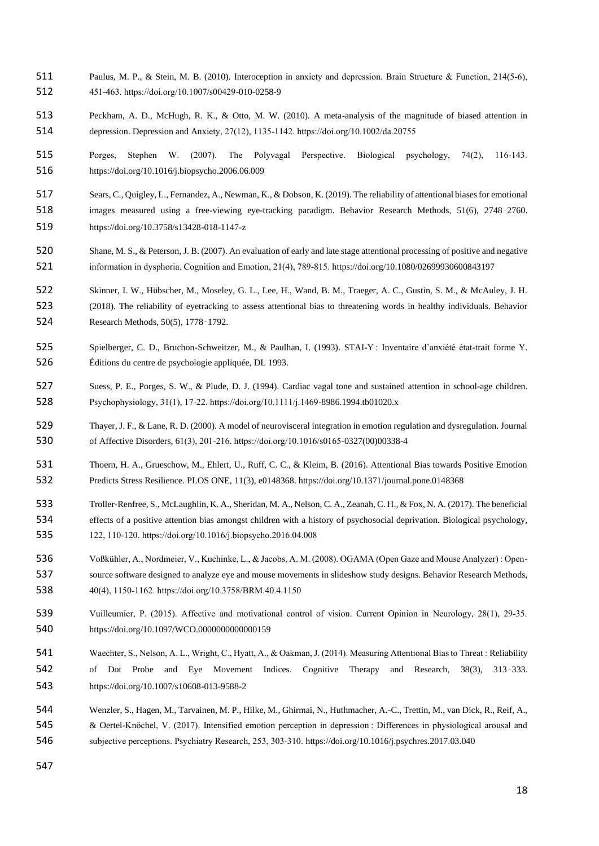- Paulus, M. P., & Stein, M. B. (2010). Interoception in anxiety and depression. Brain Structure & Function, 214(5‑6), 451‑463. https://doi.org/10.1007/s00429-010-0258-9
- Peckham, A. D., McHugh, R. K., & Otto, M. W. (2010). A meta-analysis of the magnitude of biased attention in depression. Depression and Anxiety, 27(12), 1135‑1142. https://doi.org/10.1002/da.20755
- 515 Porges, Stephen W. (2007). The Polyvagal Perspective. Biological psychology, 74(2), 116-143. https://doi.org/10.1016/j.biopsycho.2006.06.009
- Sears, C., Quigley, L., Fernandez, A., Newman, K., & Dobson, K. (2019). The reliability of attentional biases for emotional
- images measured using a free-viewing eye-tracking paradigm. Behavior Research Methods, 51(6), 2748‑2760.
- https://doi.org/10.3758/s13428-018-1147-z
- Shane, M. S., & Peterson, J. B. (2007). An evaluation of early and late stage attentional processing of positive and negative information in dysphoria. Cognition and Emotion, 21(4), 789‑815. https://doi.org/10.1080/02699930600843197
- Skinner, I. W., Hübscher, M., Moseley, G. L., Lee, H., Wand, B. M., Traeger, A. C., Gustin, S. M., & McAuley, J. H.
- (2018). The reliability of eyetracking to assess attentional bias to threatening words in healthy individuals. Behavior Research Methods, 50(5), 1778‑1792.
- Spielberger, C. D., Bruchon-Schweitzer, M., & Paulhan, I. (1993). STAI-Y : Inventaire d'anxiété état-trait forme Y. Éditions du centre de psychologie appliquée, DL 1993.
- Suess, P. E., Porges, S. W., & Plude, D. J. (1994). Cardiac vagal tone and sustained attention in school-age children. Psychophysiology, 31(1), 17‑22. https://doi.org/10.1111/j.1469-8986.1994.tb01020.x
- Thayer, J. F., & Lane, R. D. (2000). A model of neurovisceral integration in emotion regulation and dysregulation. Journal of Affective Disorders, 61(3), 201‑216. https://doi.org/10.1016/s0165-0327(00)00338-4
- Thoern, H. A., Grueschow, M., Ehlert, U., Ruff, C. C., & Kleim, B. (2016). Attentional Bias towards Positive Emotion Predicts Stress Resilience. PLOS ONE, 11(3), e0148368. https://doi.org/10.1371/journal.pone.0148368
- Troller-Renfree, S., McLaughlin, K. A., Sheridan, M. A., Nelson, C. A., Zeanah, C. H., & Fox, N. A. (2017). The beneficial effects of a positive attention bias amongst children with a history of psychosocial deprivation. Biological psychology, 122, 110‑120. https://doi.org/10.1016/j.biopsycho.2016.04.008
- Voßkühler, A., Nordmeier, V., Kuchinke, L., & Jacobs, A. M. (2008). OGAMA (Open Gaze and Mouse Analyzer) : Open- source software designed to analyze eye and mouse movements in slideshow study designs. Behavior Research Methods, 40(4), 1150‑1162. https://doi.org/10.3758/BRM.40.4.1150
- 539 Vuilleumier, P. (2015). Affective and motivational control of vision. Current Opinion in Neurology, 28(1), 29-35. https://doi.org/10.1097/WCO.0000000000000159
- Waechter, S., Nelson, A. L., Wright, C., Hyatt, A., & Oakman, J. (2014). Measuring Attentional Bias to Threat : Reliability of Dot Probe and Eye Movement Indices. Cognitive Therapy and Research, 38(3), 313‑333. https://doi.org/10.1007/s10608-013-9588-2
- Wenzler, S., Hagen, M., Tarvainen, M. P., Hilke, M., Ghirmai, N., Huthmacher, A.-C., Trettin, M., van Dick, R., Reif, A., 545 & Oertel-Knöchel, V. (2017). Intensified emotion perception in depression : Differences in physiological arousal and subjective perceptions. Psychiatry Research, 253, 303‑310. https://doi.org/10.1016/j.psychres.2017.03.040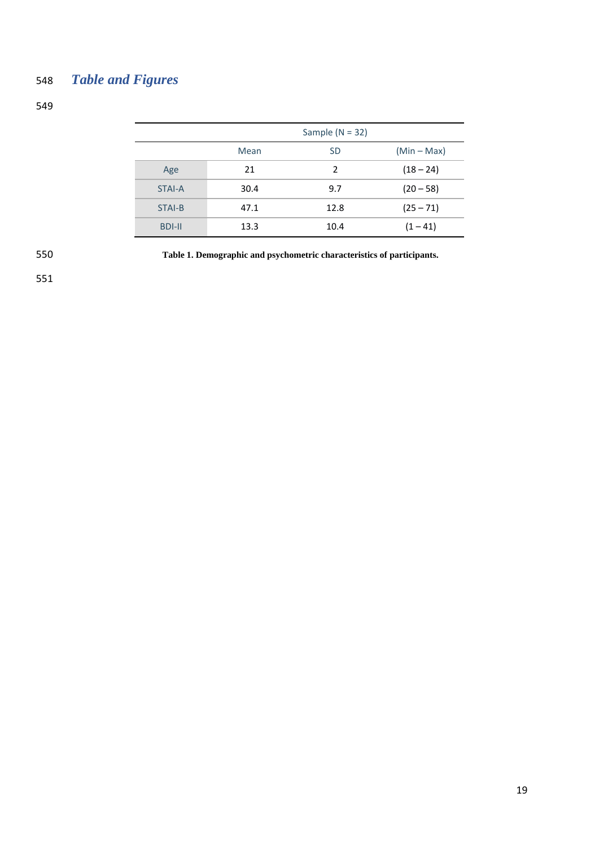# 548 *Table and Figures*

549

|               |      | Sample ( $N = 32$ ) |             |
|---------------|------|---------------------|-------------|
|               | Mean | <b>SD</b>           | $(Min-Max)$ |
| Age           | 21   | 2                   | $(18 - 24)$ |
| <b>STAI-A</b> | 30.4 | 9.7                 | $(20 - 58)$ |
| STAI-B        | 47.1 | 12.8                | $(25 - 71)$ |
| <b>BDI-II</b> | 13.3 | 10.4                | $(1 - 41)$  |

550 **Table 1. Demographic and psychometric characteristics of participants.**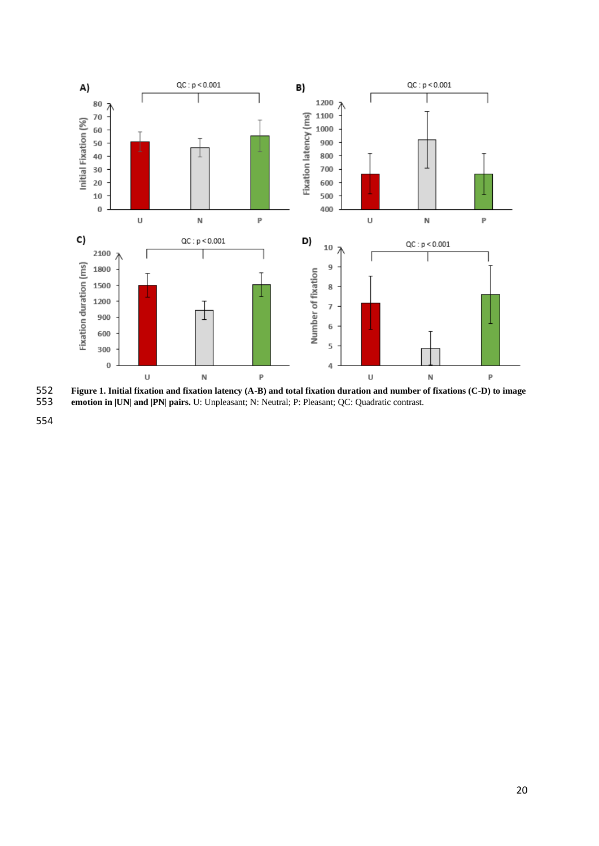

**Figure 1. Initial fixation and fixation latency (A-B) and total fixation duration and number of fixations (C-D) to image**<br>**553** emotion in |UN| and |PN| pairs. U: Unpleasant; N: Neutral; P: Pleasant; QC: Quadratic contras

**emotion in |UN| and |PN| pairs.** U: Unpleasant; N: Neutral; P: Pleasant; QC: Quadratic contrast.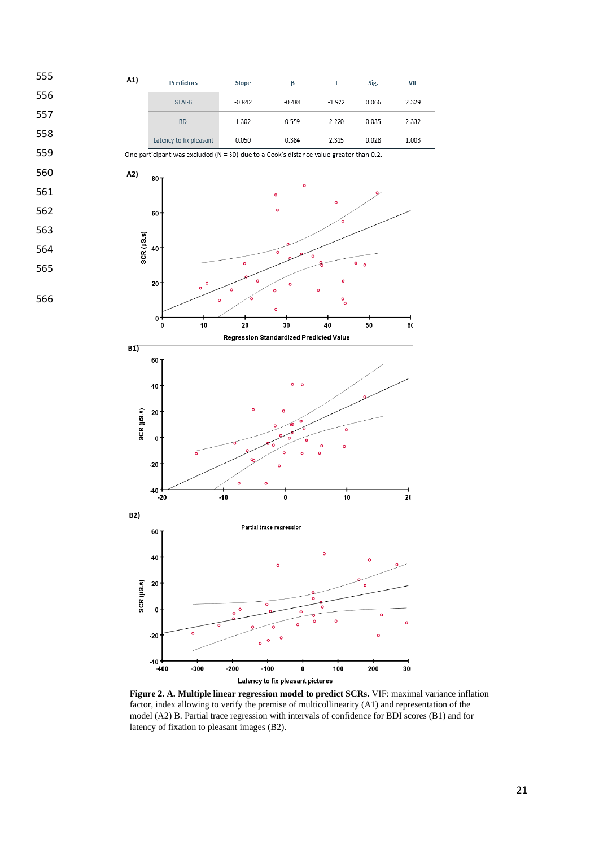

**Figure 2. A. Multiple linear regression model to predict SCRs.** VIF: maximal variance inflation factor, index allowing to verify the premise of multicollinearity (A1) and representation of the model (A2) B. Partial trace regression with intervals of confidence for BDI scores (B1) and for latency of fixation to pleasant images (B2).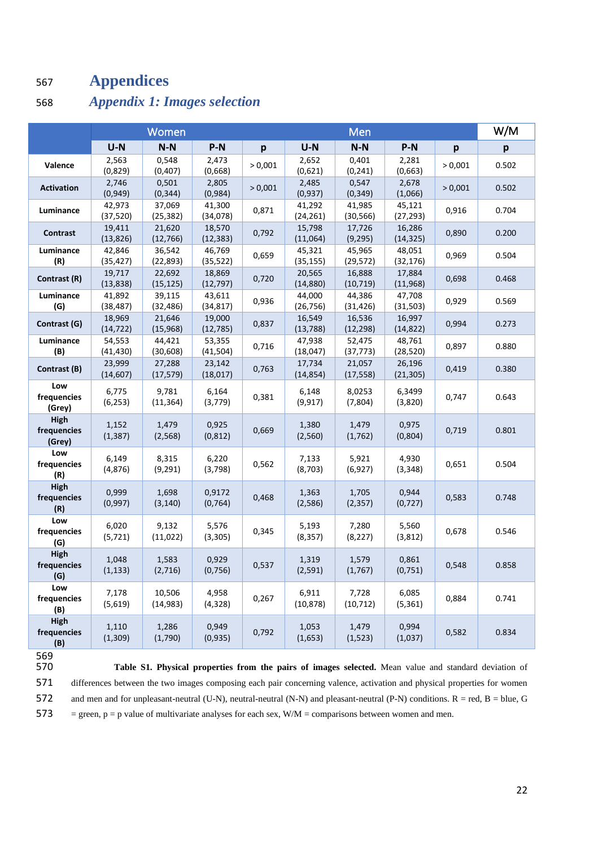# <sup>567</sup> **Appendices**

## 568 *Appendix 1: Images selection*

|                                   |                     | Women               |                     |         |                     | Men                 |                     |         | W/M   |
|-----------------------------------|---------------------|---------------------|---------------------|---------|---------------------|---------------------|---------------------|---------|-------|
|                                   | $U-N$               | $N-N$               | $P-N$               | p       | $U-N$               | $N-N$               | $P-N$               | p       | p     |
| Valence                           | 2,563<br>(0,829)    | 0,548<br>(0, 407)   | 2,473<br>(0,668)    | > 0,001 | 2,652<br>(0,621)    | 0,401<br>(0, 241)   | 2,281<br>(0,663)    | > 0,001 | 0.502 |
| <b>Activation</b>                 | 2,746<br>(0, 949)   | 0,501<br>(0, 344)   | 2,805<br>(0,984)    | > 0,001 | 2,485<br>(0,937)    | 0,547<br>(0, 349)   | 2,678<br>(1,066)    | > 0,001 | 0.502 |
| Luminance                         | 42,973<br>(37, 520) | 37,069<br>(25, 382) | 41,300<br>(34,078)  | 0,871   | 41,292<br>(24, 261) | 41,985<br>(30, 566) | 45,121<br>(27, 293) | 0,916   | 0.704 |
| Contrast                          | 19,411<br>(13, 826) | 21,620<br>(12, 766) | 18,570<br>(12, 383) | 0,792   | 15,798<br>(11,064)  | 17,726<br>(9, 295)  | 16,286<br>(14, 325) | 0,890   | 0.200 |
| Luminance<br>(R)                  | 42,846<br>(35, 427) | 36,542<br>(22, 893) | 46,769<br>(35, 522) | 0,659   | 45,321<br>(35, 155) | 45,965<br>(29, 572) | 48,051<br>(32, 176) | 0,969   | 0.504 |
| Contrast (R)                      | 19,717<br>(13, 838) | 22,692<br>(15, 125) | 18,869<br>(12, 797) | 0,720   | 20,565<br>(14, 880) | 16,888<br>(10, 719) | 17,884<br>(11, 968) | 0,698   | 0.468 |
| Luminance<br>(G)                  | 41,892<br>(38, 487) | 39,115<br>(32, 486) | 43,611<br>(34, 817) | 0,936   | 44,000<br>(26, 756) | 44,386<br>(31, 426) | 47,708<br>(31,503)  | 0,929   | 0.569 |
| Contrast (G)                      | 18,969<br>(14, 722) | 21,646<br>(15,968)  | 19,000<br>(12, 785) | 0,837   | 16,549<br>(13, 788) | 16,536<br>(12, 298) | 16,997<br>(14, 822) | 0,994   | 0.273 |
| Luminance<br>(B)                  | 54,553<br>(41, 430) | 44,421<br>(30, 608) | 53,355<br>(41, 504) | 0,716   | 47,938<br>(18, 047) | 52,475<br>(37, 773) | 48,761<br>(28, 520) | 0,897   | 0.880 |
| Contrast (B)                      | 23,999<br>(14, 607) | 27,288<br>(17, 579) | 23,142<br>(18, 017) | 0,763   | 17,734<br>(14, 854) | 21,057<br>(17, 558) | 26,196<br>(21, 305) | 0,419   | 0.380 |
| Low<br>frequencies<br>(Grey)      | 6,775<br>(6, 253)   | 9,781<br>(11, 364)  | 6,164<br>(3,779)    | 0,381   | 6,148<br>(9, 917)   | 8,0253<br>(7,804)   | 6,3499<br>(3,820)   | 0,747   | 0.643 |
| High<br>frequencies<br>(Grey)     | 1,152<br>(1, 387)   | 1,479<br>(2, 568)   | 0,925<br>(0, 812)   | 0,669   | 1,380<br>(2,560)    | 1,479<br>(1,762)    | 0,975<br>(0,804)    | 0,719   | 0.801 |
| Low<br>frequencies<br>(R)         | 6,149<br>(4,876)    | 8,315<br>(9, 291)   | 6,220<br>(3,798)    | 0,562   | 7,133<br>(8, 703)   | 5,921<br>(6,927)    | 4,930<br>(3, 348)   | 0,651   | 0.504 |
| High<br>frequencies<br>(R)        | 0,999<br>(0,997)    | 1,698<br>(3, 140)   | 0,9172<br>(0, 764)  | 0,468   | 1,363<br>(2,586)    | 1,705<br>(2, 357)   | 0,944<br>(0, 727)   | 0,583   | 0.748 |
| Low<br>frequencies<br>(G)         | 6,020<br>(5, 721)   | 9,132<br>(11, 022)  | 5,576<br>(3, 305)   | 0,345   | 5,193<br>(8, 357)   | 7,280<br>(8, 227)   | 5,560<br>(3,812)    | 0,678   | 0.546 |
| High<br>frequencies<br>(G)        | 1,048<br>(1, 133)   | 1,583<br>(2,716)    | 0,929<br>(0, 756)   | 0,537   | 1,319<br>(2,591)    | 1,579<br>(1,767)    | 0,861<br>(0,751)    | 0,548   | 0.858 |
| Low<br>frequencies<br>(B)         | 7,178<br>(5,619)    | 10,506<br>(14, 983) | 4,958<br>(4, 328)   | 0,267   | 6,911<br>(10, 878)  | 7,728<br>(10, 712)  | 6,085<br>(5, 361)   | 0,884   | 0.741 |
| <b>High</b><br>frequencies<br>(B) | 1,110<br>(1, 309)   | 1,286<br>(1,790)    | 0,949<br>(0, 935)   | 0,792   | 1,053<br>(1,653)    | 1,479<br>(1, 523)   | 0,994<br>(1,037)    | 0,582   | 0.834 |

569<br>570

Table S1. Physical properties from the pairs of images selected. Mean value and standard deviation of 571 differences between the two images composing each pair concerning valence, activation and physical properties for women 572 and men and for unpleasant-neutral (U-N), neutral-neutral (N-N) and pleasant-neutral (P-N) conditions.  $R = red$ ,  $B = blue$ ,  $G =$ 573 = green,  $p = p$  value of multivariate analyses for each sex,  $W/M =$  comparisons between women and men.